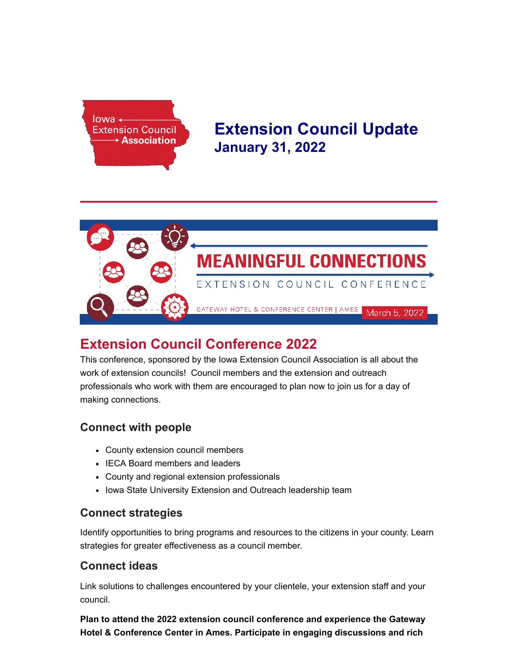

# **Extension Council Update January 31, 2022**



# **Extension Council Conference 2022**

This conference, sponsored by the Iowa Extension Council Association is all about the work of extension councils! Council members and the extension and outreach professionals who work with them are encouraged to plan now to join us for a day of making connections.

## **Connect with people**

- County extension council members
- IECA Board members and leaders
- County and regional extension professionals
- Iowa State University Extension and Outreach leadership team

## **Connect strategies**

Identify opportunities to bring programs and resources to the citizens in your county. Learn strategies for greater effectiveness as a council member.

## **Connect ideas**

Link solutions to challenges encountered by your clientele, your extension staff and your council.

**Plan to attend the 2022 extension council conference and experience the Gateway Hotel & Conference Center in Ames. Participate in engaging discussions and rich**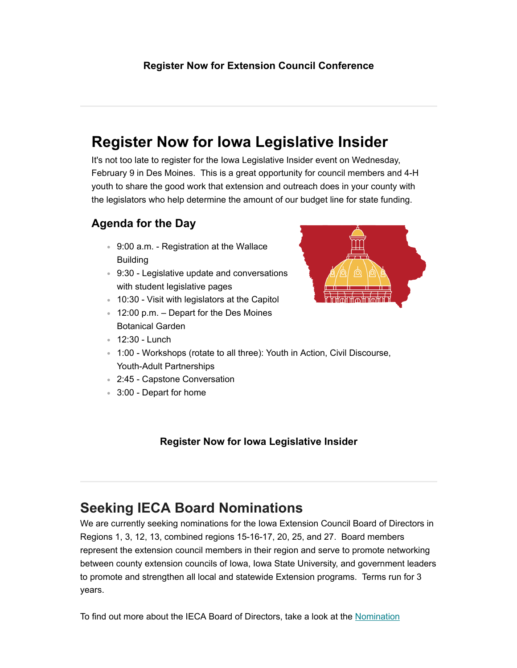# **Register Now for lowa Legislative Insider**

It's not too late to register for the lowa Legislative Insider event on Wednesday, February 9 in Des Moines. This is a great opportunity for council members and 4-H youth to share the good work that extension and outreach does in your county with the legislators who help determine the amount of our budget line for state funding.

## **Agenda for the Day**

- 9:00 a.m. Registration at the Wallace Building
- 9:30 Legislative update and conversations with student legislative pages
- 10:30 Visit with legislators at the Capitol
- $\cdot$  12:00 p.m. Depart for the Des Moines Botanical Garden
- 12:30 Lunch



- 2:45 Capstone Conversation
- 3:00 Depart for home

# **[Register Now for Iowa Legislative Insider](https://www.iaextensioncouncils.org/ieca-4-h-legislative-insider-registration)**

# **Seeking IECA Board Nominations**

We are currently seeking nominations for the Iowa Extension Council Board of Directors in Regions 1, 3, 12, 13, combined regions 15-16-17, 20, 25, and 27. Board members represent the extension council members in their region and serve to promote networking between county extension councils of Iowa, Iowa State University, and government leaders to promote and strengthen all local and statewide Extension programs. Terms run for 3 years.

[To find out more about the IECA Board of Directors, take a look at the](https://www.iaextensioncouncils.org/files/page/files/nominationqa_5.pdf) Nomination

# <u>በዚሠ ዘሠያ</u>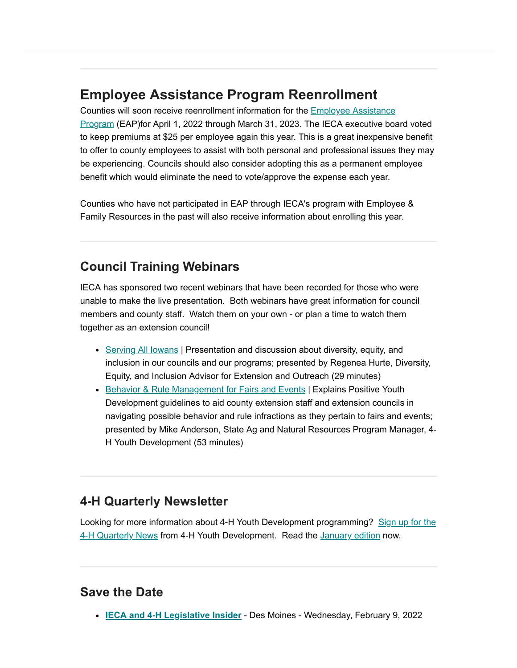# **Employee Assistance Program Reenrollment**

Counties will soon receive reenrollment information for the **Employee Assistance** Program [\(EAP\)for April 1, 2022 through March 31, 2023. The IECA executive boa](https://www.iaextensioncouncils.org/employee-assistance-program)rd voted to keep premiums at \$25 per employee again this year. This is a great inexpensive benefit to offer to county employees to assist with both personal and professional issues they may be experiencing. Councils should also consider adopting this as a permanent employee benefit which would eliminate the need to vote/approve the expense each year.

Counties who have not participated in EAP through IECA's program with Employee & Family Resources in the past will also receive information about enrolling this year.

## **Council Training Webinars**

IECA has sponsored two recent webinars that have been recorded for those who were unable to make the live presentation. Both webinars have great information for council members and county staff. Watch them on your own - or plan a time to watch them together as an extension council!

- Serving All lowans | Presentation and discussion about diversity, equity, and inclusion in our councils and our programs; presented by Regenea Hurte, Diversity, Equity, and Inclusion Advisor for Extension and Outreach (29 minutes)
- [Behavior & Rule Management for Fairs and Events](https://www.iaextensioncouncils.org/behavior-rule-management-fairs-and-events) | Explains Positive Youth Development guidelines to aid county extension staff and extension councils in navigating possible behavior and rule infractions as they pertain to fairs and events; presented by Mike Anderson, State Ag and Natural Resources Program Manager, 4- H Youth Development (53 minutes)

## **4-H Quarterly Newsletter**

Looking for more information about 4-H Youth Development programming? Sign up for the [4-H Quarterly News from 4-H Youth Development. Read the January edition now.](https://form.jotform.com/202803722527047)

## **Save the Date**

**[IECA and 4-H Legislative Insider](https://www.iaextensioncouncils.org/inside-ieca-government-relations)** - Des Moines - Wednesday, February 9, 2022